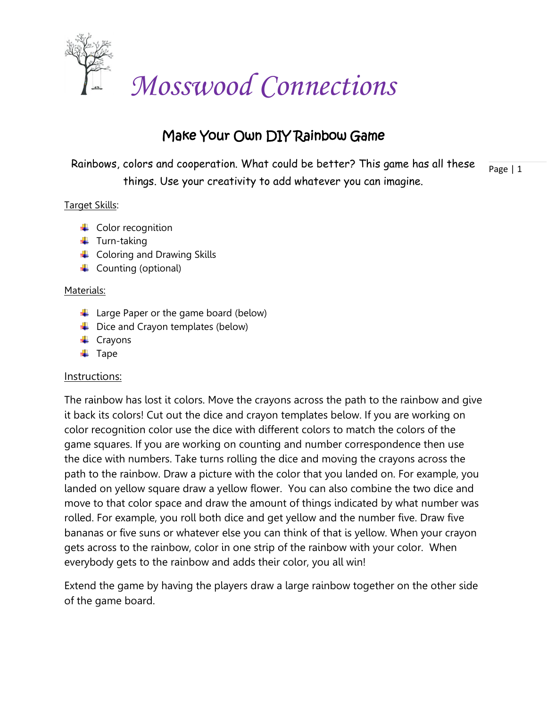

## Make Your Own DIY Rainbow Game

Page | 1 Rainbows, colors and cooperation. What could be better? This game has all these things. Use your creativity to add whatever you can imagine.

## Target Skills:

- $\downarrow$  Color recognition
- $\ddagger$  Turn-taking
- **↓** Coloring and Drawing Skills
- $\leftarrow$  Counting (optional)

## Materials:

- $\downarrow$  Large Paper or the game board (below)
- $\overline{\phantom{a}}$  Dice and Crayon templates (below)
- $\leftarrow$  Crayons
- $\overline{\phantom{a}}$  Tape

## Instructions:

The rainbow has lost it colors. Move the crayons across the path to the rainbow and give it back its colors! Cut out the dice and crayon templates below. If you are working on color recognition color use the dice with different colors to match the colors of the game squares. If you are working on counting and number correspondence then use the dice with numbers. Take turns rolling the dice and moving the crayons across the path to the rainbow. Draw a picture with the color that you landed on. For example, you landed on yellow square draw a yellow flower. You can also combine the two dice and move to that color space and draw the amount of things indicated by what number was rolled. For example, you roll both dice and get yellow and the number five. Draw five bananas or five suns or whatever else you can think of that is yellow. When your crayon gets across to the rainbow, color in one strip of the rainbow with your color. When everybody gets to the rainbow and adds their color, you all win!

Extend the game by having the players draw a large rainbow together on the other side of the game board.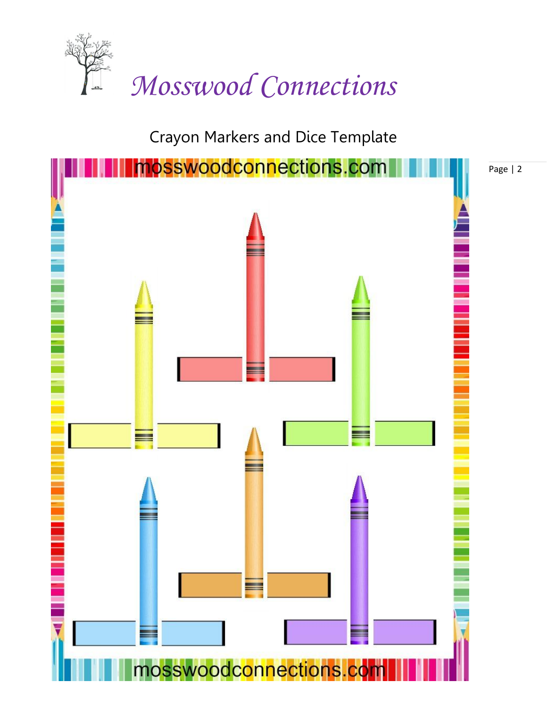

Crayon Markers and Dice Template



Page | 2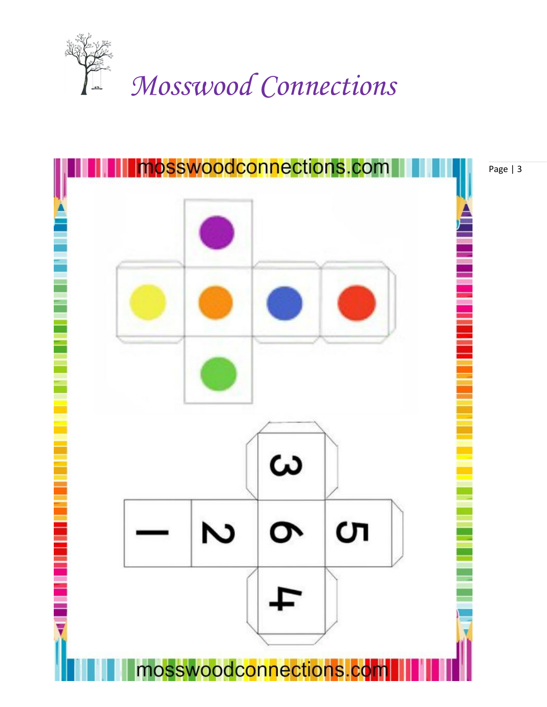



Page | 3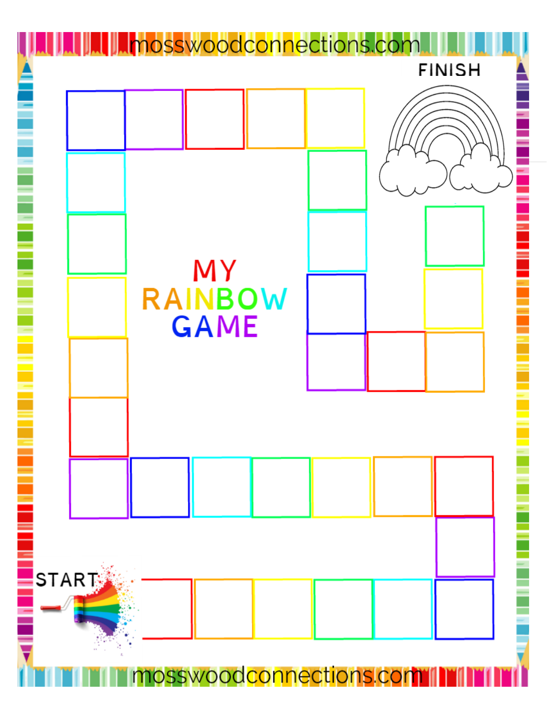